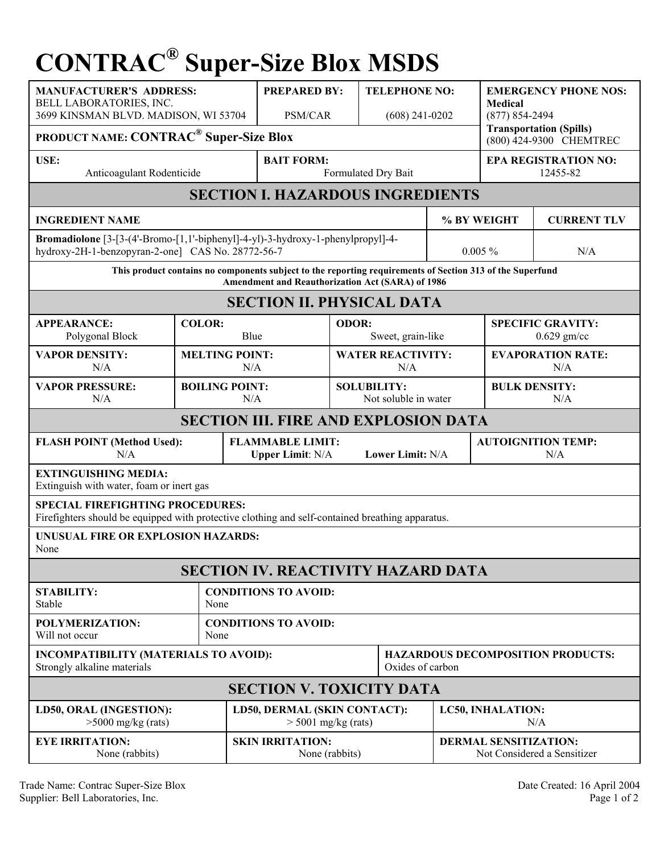## **CONTRAC® Super-Size Blox MSDS**

| <b>MANUFACTURER'S ADDRESS:</b><br>BELL LABORATORIES, INC.<br>3699 KINSMAN BLVD. MADISON, WI 53704                                                             |                              | <b>PREPARED BY:</b><br><b>PSM/CAR</b>                                           |                       | <b>TELEPHONE NO:</b><br>$(608)$ 241-0202   |                                         | <b>EMERGENCY PHONE NOS:</b><br><b>Medical</b><br>$(877) 854 - 2494$<br><b>Transportation (Spills)</b> |  |  |  |
|---------------------------------------------------------------------------------------------------------------------------------------------------------------|------------------------------|---------------------------------------------------------------------------------|-----------------------|--------------------------------------------|-----------------------------------------|-------------------------------------------------------------------------------------------------------|--|--|--|
| <b>PRODUCT NAME: CONTRAC<sup>®</sup> Super-Size Blox</b><br>(800) 424-9300 CHEMTREC                                                                           |                              |                                                                                 |                       |                                            |                                         |                                                                                                       |  |  |  |
| USE:<br>Anticoagulant Rodenticide                                                                                                                             |                              | <b>BAIT FORM:</b><br>Formulated Dry Bait                                        |                       |                                            | <b>EPA REGISTRATION NO:</b><br>12455-82 |                                                                                                       |  |  |  |
| <b>SECTION I. HAZARDOUS INGREDIENTS</b>                                                                                                                       |                              |                                                                                 |                       |                                            |                                         |                                                                                                       |  |  |  |
| <b>INGREDIENT NAME</b>                                                                                                                                        |                              |                                                                                 |                       |                                            | % BY WEIGHT                             | <b>CURRENT TLV</b>                                                                                    |  |  |  |
| hydroxy-2H-1-benzopyran-2-one] CAS No. 28772-56-7                                                                                                             |                              | Bromadiolone [3-[3-(4'-Bromo-[1,1'-biphenyl]-4-yl)-3-hydroxy-1-phenylpropyl]-4- |                       |                                            | $0.005 \%$                              | N/A                                                                                                   |  |  |  |
| This product contains no components subject to the reporting requirements of Section 313 of the Superfund<br>Amendment and Reauthorization Act (SARA) of 1986 |                              |                                                                                 |                       |                                            |                                         |                                                                                                       |  |  |  |
| <b>SECTION II. PHYSICAL DATA</b>                                                                                                                              |                              |                                                                                 |                       |                                            |                                         |                                                                                                       |  |  |  |
| <b>APPEARANCE:</b><br>Polygonal Block                                                                                                                         | <b>COLOR:</b><br>Blue        |                                                                                 | ODOR:                 | Sweet, grain-like                          |                                         | <b>SPECIFIC GRAVITY:</b><br>$0.629$ gm/cc                                                             |  |  |  |
| <b>VAPOR DENSITY:</b><br>N/A                                                                                                                                  | <b>MELTING POINT:</b><br>N/A |                                                                                 |                       | <b>WATER REACTIVITY:</b><br>N/A            |                                         | <b>EVAPORATION RATE:</b><br>N/A                                                                       |  |  |  |
| <b>VAPOR PRESSURE:</b><br>N/A                                                                                                                                 | <b>BOILING POINT:</b><br>N/A |                                                                                 |                       | <b>SOLUBILITY:</b><br>Not soluble in water |                                         | <b>BULK DENSITY:</b><br>N/A                                                                           |  |  |  |
| <b>SECTION III. FIRE AND EXPLOSION DATA</b>                                                                                                                   |                              |                                                                                 |                       |                                            |                                         |                                                                                                       |  |  |  |
| <b>FLASH POINT (Method Used):</b><br>N/A                                                                                                                      |                              | <b>FLAMMABLE LIMIT:</b><br>Lower Limit: N/A<br><b>Upper Limit: N/A</b>          |                       |                                            |                                         | <b>AUTOIGNITION TEMP:</b><br>N/A                                                                      |  |  |  |
| <b>EXTINGUISHING MEDIA:</b><br>Extinguish with water, foam or inert gas                                                                                       |                              |                                                                                 |                       |                                            |                                         |                                                                                                       |  |  |  |
| <b>SPECIAL FIREFIGHTING PROCEDURES:</b><br>Firefighters should be equipped with protective clothing and self-contained breathing apparatus.                   |                              |                                                                                 |                       |                                            |                                         |                                                                                                       |  |  |  |
| UNUSUAL FIRE OR EXPLOSION HAZARDS:<br>None                                                                                                                    |                              |                                                                                 |                       |                                            |                                         |                                                                                                       |  |  |  |
| <b>SECTION IV. REACTIVITY HAZARD DATA</b>                                                                                                                     |                              |                                                                                 |                       |                                            |                                         |                                                                                                       |  |  |  |
| <b>STABILITY:</b><br>Stable                                                                                                                                   | None                         | <b>CONDITIONS TO AVOID:</b>                                                     |                       |                                            |                                         |                                                                                                       |  |  |  |
| POLYMERIZATION:<br>Will not occur                                                                                                                             | None                         | <b>CONDITIONS TO AVOID:</b>                                                     |                       |                                            |                                         |                                                                                                       |  |  |  |
| INCOMPATIBILITY (MATERIALS TO AVOID):<br>Strongly alkaline materials                                                                                          |                              |                                                                                 | Oxides of carbon      |                                            |                                         | <b>HAZARDOUS DECOMPOSITION PRODUCTS:</b>                                                              |  |  |  |
| <b>SECTION V. TOXICITY DATA</b>                                                                                                                               |                              |                                                                                 |                       |                                            |                                         |                                                                                                       |  |  |  |
| LD50, ORAL (INGESTION):<br>$>5000$ mg/kg (rats)                                                                                                               |                              | LD50, DERMAL (SKIN CONTACT):                                                    | $>$ 5001 mg/kg (rats) |                                            |                                         | LC50, INHALATION:<br>N/A                                                                              |  |  |  |
| <b>EYE IRRITATION:</b><br>None (rabbits)                                                                                                                      |                              | <b>SKIN IRRITATION:</b>                                                         | None (rabbits)        |                                            |                                         | <b>DERMAL SENSITIZATION:</b><br>Not Considered a Sensitizer                                           |  |  |  |